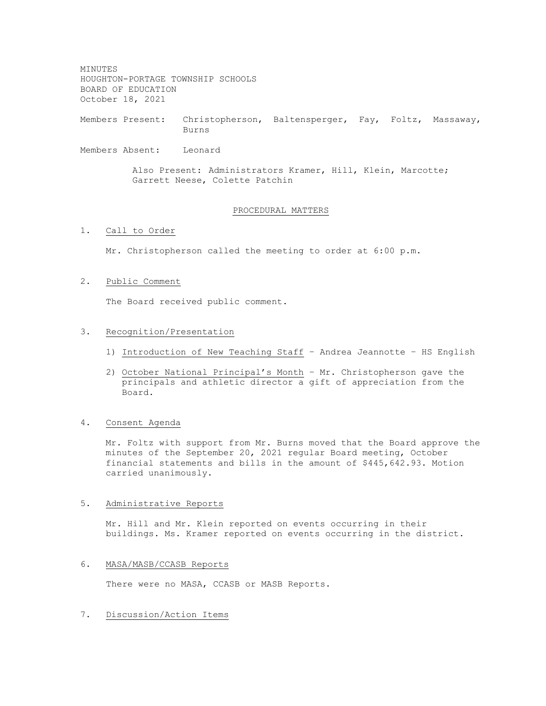MINUTES HOUGHTON-PORTAGE TOWNSHIP SCHOOLS BOARD OF EDUCATION October 18, 2021

Members Present: Christopherson, Baltensperger, Fay, Foltz, Massaway, Burns

Members Absent: Leonard

Also Present: Administrators Kramer, Hill, Klein, Marcotte; Garrett Neese, Colette Patchin

# PROCEDURAL MATTERS

# 1. Call to Order

Mr. Christopherson called the meeting to order at 6:00 p.m.

# 2. Public Comment

The Board received public comment.

#### 3. Recognition/Presentation

- 1) Introduction of New Teaching Staff Andrea Jeannotte HS English
- 2) October National Principal's Month Mr. Christopherson gave the principals and athletic director a gift of appreciation from the Board.
- 4. Consent Agenda

Mr. Foltz with support from Mr. Burns moved that the Board approve the minutes of the September 20, 2021 regular Board meeting, October financial statements and bills in the amount of \$445,642.93. Motion carried unanimously.

#### 5. Administrative Reports

Mr. Hill and Mr. Klein reported on events occurring in their buildings. Ms. Kramer reported on events occurring in the district.

# 6. MASA/MASB/CCASB Reports

There were no MASA, CCASB or MASB Reports.

# 7. Discussion/Action Items